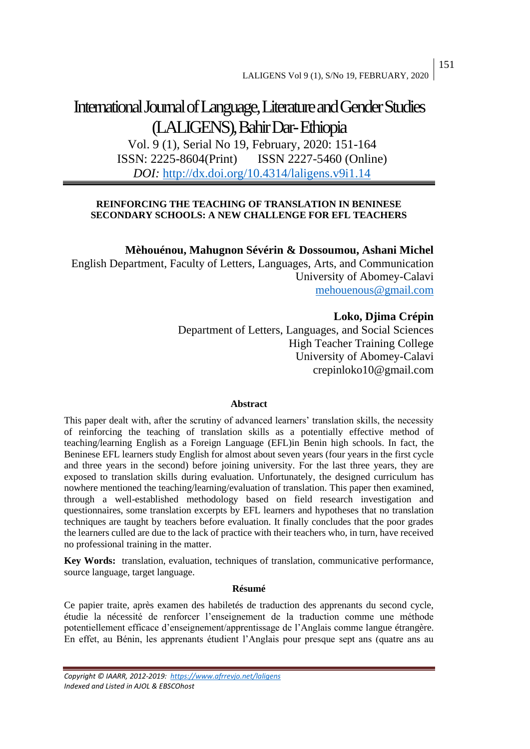# International Journal of Language, Literature and Gender Studies (LALIGENS), Bahir Dar-Ethiopia

Vol. 9 (1), Serial No 19, February, 2020: 151-164 ISSN: 2225-8604(Print) ISSN 2227-5460 (Online) *DOI:* <http://dx.doi.org/10.4314/laligens.v9i1.14>

## **REINFORCING THE TEACHING OF TRANSLATION IN BENINESE SECONDARY SCHOOLS: A NEW CHALLENGE FOR EFL TEACHERS**

**Mèhouénou, Mahugnon Sévérin & Dossoumou, Ashani Michel**

English Department, Faculty of Letters, Languages, Arts, and Communication University of Abomey-Calavi [mehouenous@gmail.com](mailto:mehouenous@gmail.com)

# **Loko, Djima Crépin**

Department of Letters, Languages, and Social Sciences High Teacher Training College University of Abomey-Calavi crepinloko10@gmail.com

## **Abstract**

This paper dealt with, after the scrutiny of advanced learners' translation skills, the necessity of reinforcing the teaching of translation skills as a potentially effective method of teaching/learning English as a Foreign Language (EFL)in Benin high schools. In fact, the Beninese EFL learners study English for almost about seven years (four years in the first cycle and three years in the second) before joining university. For the last three years, they are exposed to translation skills during evaluation. Unfortunately, the designed curriculum has nowhere mentioned the teaching/learning/evaluation of translation. This paper then examined, through a well-established methodology based on field research investigation and questionnaires, some translation excerpts by EFL learners and hypotheses that no translation techniques are taught by teachers before evaluation. It finally concludes that the poor grades the learners culled are due to the lack of practice with their teachers who, in turn, have received no professional training in the matter.

**Key Words:** translation, evaluation, techniques of translation, communicative performance, source language, target language.

#### **Résumé**

Ce papier traite, après examen des habiletés de traduction des apprenants du second cycle, étudie la nécessité de renforcer l'enseignement de la traduction comme une méthode potentiellement efficace d'enseignement/apprentissage de l'Anglais comme langue étrangère. En effet, au Bénin, les apprenants étudient l'Anglais pour presque sept ans (quatre ans au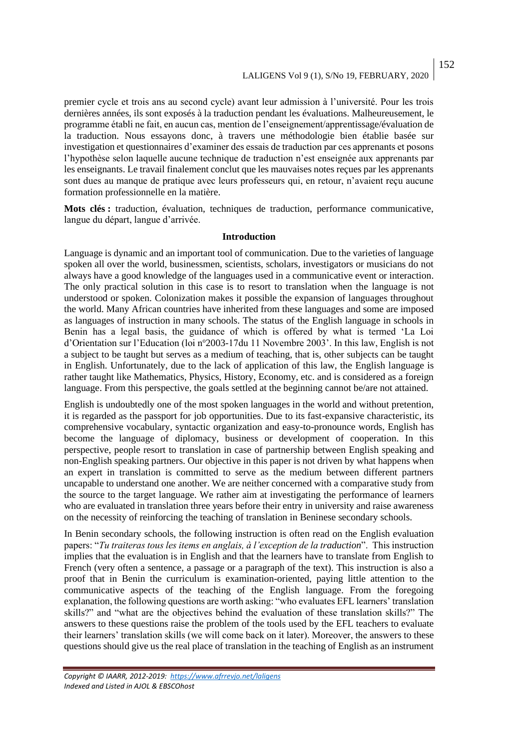premier cycle et trois ans au second cycle) avant leur admission à l'université. Pour les trois dernières années, ils sont exposés à la traduction pendant les évaluations. Malheureusement, le programme établi ne fait, en aucun cas, mention de l'enseignement/apprentissage/évaluation de la traduction. Nous essayons donc, à travers une méthodologie bien établie basée sur investigation et questionnaires d'examiner des essais de traduction par ces apprenants et posons l'hypothèse selon laquelle aucune technique de traduction n'est enseignée aux apprenants par les enseignants. Le travail finalement conclut que les mauvaises notes reçues par les apprenants sont dues au manque de pratique avec leurs professeurs qui, en retour, n'avaient reçu aucune formation professionnelle en la matière.

**Mots clés :** traduction, évaluation, techniques de traduction, performance communicative, langue du départ, langue d'arrivée.

#### **Introduction**

Language is dynamic and an important tool of communication. Due to the varieties of language spoken all over the world, businessmen, scientists, scholars, investigators or musicians do not always have a good knowledge of the languages used in a communicative event or interaction. The only practical solution in this case is to resort to translation when the language is not understood or spoken. Colonization makes it possible the expansion of languages throughout the world. Many African countries have inherited from these languages and some are imposed as languages of instruction in many schools. The status of the English language in schools in Benin has a legal basis, the guidance of which is offered by what is termed 'La Loi d'Orientation sur l'Education (loi n°2003-17du 11 Novembre 2003'. In this law, English is not a subject to be taught but serves as a medium of teaching, that is, other subjects can be taught in English. Unfortunately, due to the lack of application of this law, the English language is rather taught like Mathematics, Physics, History, Economy, etc. and is considered as a foreign language. From this perspective, the goals settled at the beginning cannot be/are not attained.

English is undoubtedly one of the most spoken languages in the world and without pretention, it is regarded as the passport for job opportunities. Due to its fast-expansive characteristic, its comprehensive vocabulary, syntactic organization and easy-to-pronounce words, English has become the language of diplomacy, business or development of cooperation. In this perspective, people resort to translation in case of partnership between English speaking and non-English speaking partners. Our objective in this paper is not driven by what happens when an expert in translation is committed to serve as the medium between different partners uncapable to understand one another. We are neither concerned with a comparative study from the source to the target language. We rather aim at investigating the performance of learners who are evaluated in translation three years before their entry in university and raise awareness on the necessity of reinforcing the teaching of translation in Beninese secondary schools.

In Benin secondary schools, the following instruction is often read on the English evaluation papers: "*Tu traiteras tous les items en anglais, à l'exception de la traduction*". This instruction implies that the evaluation is in English and that the learners have to translate from English to French (very often a sentence, a passage or a paragraph of the text). This instruction is also a proof that in Benin the curriculum is examination-oriented, paying little attention to the communicative aspects of the teaching of the English language. From the foregoing explanation, the following questions are worth asking: "who evaluates EFL learners' translation skills?" and "what are the objectives behind the evaluation of these translation skills?" The answers to these questions raise the problem of the tools used by the EFL teachers to evaluate their learners' translation skills (we will come back on it later). Moreover, the answers to these questions should give us the real place of translation in the teaching of English as an instrument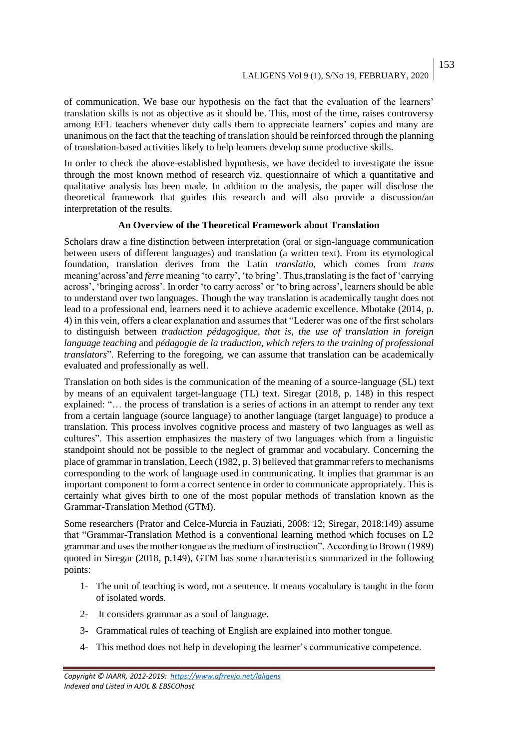153

of communication. We base our hypothesis on the fact that the evaluation of the learners' translation skills is not as objective as it should be. This, most of the time, raises controversy among EFL teachers whenever duty calls them to appreciate learners' copies and many are unanimous on the fact that the teaching of translation should be reinforced through the planning of translation-based activities likely to help learners develop some productive skills.

In order to check the above-established hypothesis, we have decided to investigate the issue through the most known method of research viz. questionnaire of which a quantitative and qualitative analysis has been made. In addition to the analysis, the paper will disclose the theoretical framework that guides this research and will also provide a discussion/an interpretation of the results.

## **An Overview of the Theoretical Framework about Translation**

Scholars draw a fine distinction between interpretation (oral or sign-language communication between users of different languages) and translation (a written text). From its etymological foundation, translation derives from the Latin *translatio*, which comes from *trans* meaning'across'and *ferre* meaning 'to carry', 'to bring'. Thus,translating is the fact of 'carrying across', 'bringing across'. In order 'to carry across' or 'to bring across', learners should be able to understand over two languages. Though the way translation is academically taught does not lead to a professional end, learners need it to achieve academic excellence. Mbotake (2014, p. 4) in this vein, offers a clear explanation and assumes that "Lederer was one of the first scholars to distinguish between *traduction pédagogique, that is, the use of translation in foreign language teaching* and *pédagogie de la traduction, which refers to the training of professional translators*"*.* Referring to the foregoing, we can assume that translation can be academically evaluated and professionally as well.

Translation on both sides is the communication of the meaning of a source-language (SL) text by means of an equivalent target-language (TL) text. Siregar (2018, p. 148) in this respect explained: "… the process of translation is a series of actions in an attempt to render any text from a certain language (source language) to another language (target language) to produce a translation. This process involves cognitive process and mastery of two languages as well as cultures". This assertion emphasizes the mastery of two languages which from a linguistic standpoint should not be possible to the neglect of grammar and vocabulary. Concerning the place of grammar in translation, Leech (1982, p. 3) believed that grammar refers to mechanisms corresponding to the work of language used in communicating. It implies that grammar is an important component to form a correct sentence in order to communicate appropriately. This is certainly what gives birth to one of the most popular methods of translation known as the Grammar-Translation Method (GTM).

Some researchers (Prator and Celce-Murcia in Fauziati, 2008: 12; Siregar, 2018:149) assume that "Grammar-Translation Method is a conventional learning method which focuses on L2 grammar and uses the mother tongue as the medium of instruction". According to Brown (1989) quoted in Siregar (2018, p.149), GTM has some characteristics summarized in the following points:

- 1- The unit of teaching is word, not a sentence. It means vocabulary is taught in the form of isolated words.
- 2- It considers grammar as a soul of language.
- 3- Grammatical rules of teaching of English are explained into mother tongue.
- 4- This method does not help in developing the learner's communicative competence.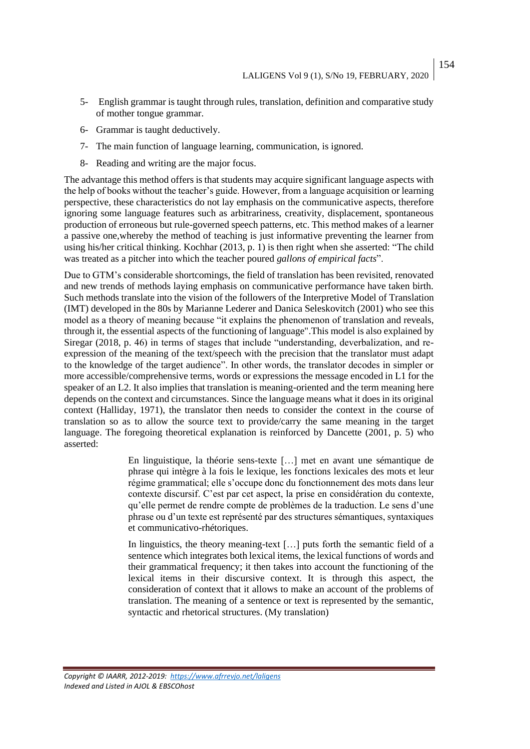- 5- English grammar is taught through rules, translation, definition and comparative study of mother tongue grammar.
- 6- Grammar is taught deductively.
- 7- The main function of language learning, communication, is ignored.
- 8- Reading and writing are the major focus.

The advantage this method offers is that students may acquire significant language aspects with the help of books without the teacher's guide. However, from a language acquisition or learning perspective, these characteristics do not lay emphasis on the communicative aspects, therefore ignoring some language features such as arbitrariness, creativity, displacement, spontaneous production of erroneous but rule-governed speech patterns, etc. This method makes of a learner a passive one,whereby the method of teaching is just informative preventing the learner from using his/her critical thinking. Kochhar (2013, p. 1) is then right when she asserted: "The child was treated as a pitcher into which the teacher poured *gallons of empirical facts*".

Due to GTM's considerable shortcomings, the field of translation has been revisited, renovated and new trends of methods laying emphasis on communicative performance have taken birth. Such methods translate into the vision of the followers of the Interpretive Model of Translation (IMT) developed in the 80s by Marianne Lederer and Danica Seleskovitch (2001) who see this model as a theory of meaning because "it explains the phenomenon of translation and reveals, through it, the essential aspects of the functioning of language".This model is also explained by Siregar (2018, p. 46) in terms of stages that include "understanding, deverbalization, and reexpression of the meaning of the text/speech with the precision that the translator must adapt to the knowledge of the target audience". In other words, the translator decodes in simpler or more accessible/comprehensive terms, words or expressions the message encoded in L1 for the speaker of an L2. It also implies that translation is meaning-oriented and the term meaning here depends on the context and circumstances. Since the language means what it does in its original context (Halliday, 1971), the translator then needs to consider the context in the course of translation so as to allow the source text to provide/carry the same meaning in the target language. The foregoing theoretical explanation is reinforced by Dancette (2001, p. 5) who asserted:

> En linguistique, la théorie sens-texte […] met en avant une sémantique de phrase qui intègre à la fois le lexique, les fonctions lexicales des mots et leur régime grammatical; elle s'occupe donc du fonctionnement des mots dans leur contexte discursif. C'est par cet aspect, la prise en considération du contexte, qu'elle permet de rendre compte de problèmes de la traduction. Le sens d'une phrase ou d'un texte est représenté par des structures sémantiques, syntaxiques et communicativo-rhétoriques.

> In linguistics, the theory meaning-text [...] puts forth the semantic field of a sentence which integrates both lexical items, the lexical functions of words and their grammatical frequency; it then takes into account the functioning of the lexical items in their discursive context. It is through this aspect, the consideration of context that it allows to make an account of the problems of translation. The meaning of a sentence or text is represented by the semantic, syntactic and rhetorical structures. (My translation)

*Copyright © IAARR, 2012-2019: <https://www.afrrevjo.net/laligens> Indexed and Listed in AJOL & EBSCOhost*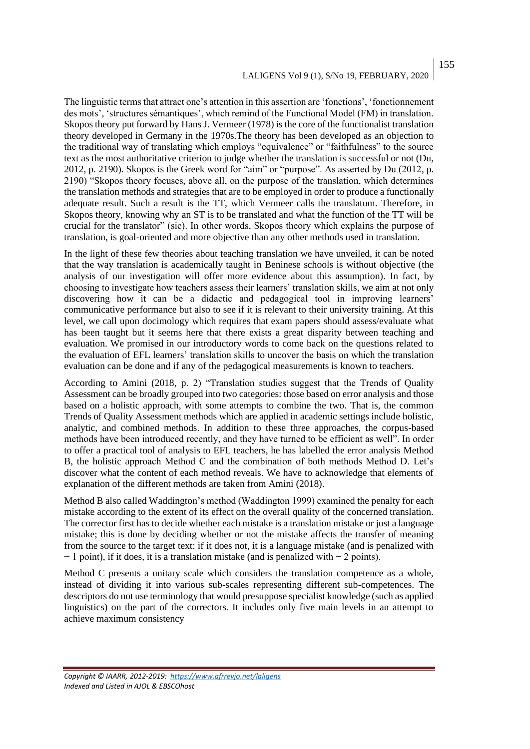## LALIGENS Vol 9 (1), S/No 19, FEBRUARY, 2020 155

The linguistic terms that attract one's attention in this assertion are 'fonctions', 'fonctionnement des mots', 'structures sémantiques', which remind of the Functional Model (FM) in translation. Skopos theory put forward by Hans J. Vermeer (1978) is the core of the functionalist translation theory developed in Germany in the 1970s.The theory has been developed as an objection to the traditional way of translating which employs "equivalence" or "faithfulness" to the source text as the most authoritative criterion to judge whether the translation is successful or not (Du, 2012, p. 2190). Skopos is the Greek word for "aim" or "purpose". As asserted by Du (2012, p. 2190) "Skopos theory focuses, above all, on the purpose of the translation, which determines the translation methods and strategies that are to be employed in order to produce a functionally adequate result. Such a result is the TT, which Vermeer calls the translatum. Therefore, in Skopos theory, knowing why an ST is to be translated and what the function of the TT will be crucial for the translator" (sic). In other words, Skopos theory which explains the purpose of translation, is goal-oriented and more objective than any other methods used in translation.

In the light of these few theories about teaching translation we have unveiled, it can be noted that the way translation is academically taught in Beninese schools is without objective (the analysis of our investigation will offer more evidence about this assumption). In fact, by choosing to investigate how teachers assess their learners' translation skills, we aim at not only discovering how it can be a didactic and pedagogical tool in improving learners' communicative performance but also to see if it is relevant to their university training. At this level, we call upon docimology which requires that exam papers should assess/evaluate what has been taught but it seems here that there exists a great disparity between teaching and evaluation. We promised in our introductory words to come back on the questions related to the evaluation of EFL learners' translation skills to uncover the basis on which the translation evaluation can be done and if any of the pedagogical measurements is known to teachers.

According to Amini (2018, p. 2) "Translation studies suggest that the Trends of Quality Assessment can be broadly grouped into two categories: those based on error analysis and those based on a holistic approach, with some attempts to combine the two. That is, the common Trends of Quality Assessment methods which are applied in academic settings include holistic, analytic, and combined methods. In addition to these three approaches, the corpus-based methods have been introduced recently, and they have turned to be efficient as well". In order to offer a practical tool of analysis to EFL teachers, he has labelled the error analysis Method B, the holistic approach Method C and the combination of both methods Method D. Let's discover what the content of each method reveals. We have to acknowledge that elements of explanation of the different methods are taken from Amini (2018).

Method B also called Waddington's method (Waddington 1999) examined the penalty for each mistake according to the extent of its effect on the overall quality of the concerned translation. The corrector first has to decide whether each mistake is a translation mistake or just a language mistake; this is done by deciding whether or not the mistake affects the transfer of meaning from the source to the target text: if it does not, it is a language mistake (and is penalized with − 1 point), if it does, it is a translation mistake (and is penalized with − 2 points).

Method C presents a unitary scale which considers the translation competence as a whole, instead of dividing it into various sub-scales representing different sub-competences. The descriptors do not use terminology that would presuppose specialist knowledge (such as applied linguistics) on the part of the correctors. It includes only five main levels in an attempt to achieve maximum consistency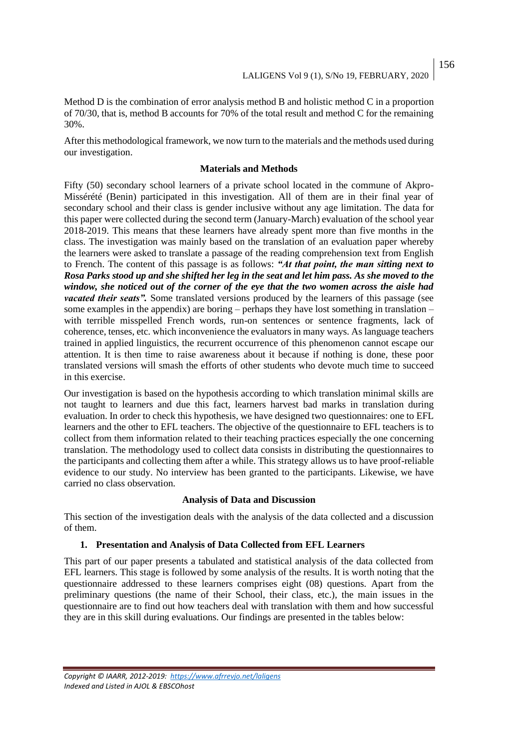Method D is the combination of error analysis method B and holistic method C in a proportion of 70/30, that is, method B accounts for 70% of the total result and method C for the remaining 30%.

After this methodological framework, we now turn to the materials and the methods used during our investigation.

## **Materials and Methods**

Fifty (50) secondary school learners of a private school located in the commune of Akpro-Missérété (Benin) participated in this investigation. All of them are in their final year of secondary school and their class is gender inclusive without any age limitation. The data for this paper were collected during the second term (January-March) evaluation of the school year 2018-2019. This means that these learners have already spent more than five months in the class. The investigation was mainly based on the translation of an evaluation paper whereby the learners were asked to translate a passage of the reading comprehension text from English to French. The content of this passage is as follows: *"At that point, the man sitting next to Rosa Parks stood up and she shifted her leg in the seat and let him pass. As she moved to the window, she noticed out of the corner of the eye that the two women across the aisle had vacated their seats".* Some translated versions produced by the learners of this passage (see some examples in the appendix) are boring – perhaps they have lost something in translation – with terrible misspelled French words, run-on sentences or sentence fragments, lack of coherence, tenses, etc. which inconvenience the evaluators in many ways. As language teachers trained in applied linguistics, the recurrent occurrence of this phenomenon cannot escape our attention. It is then time to raise awareness about it because if nothing is done, these poor translated versions will smash the efforts of other students who devote much time to succeed in this exercise.

Our investigation is based on the hypothesis according to which translation minimal skills are not taught to learners and due this fact, learners harvest bad marks in translation during evaluation. In order to check this hypothesis, we have designed two questionnaires: one to EFL learners and the other to EFL teachers. The objective of the questionnaire to EFL teachers is to collect from them information related to their teaching practices especially the one concerning translation. The methodology used to collect data consists in distributing the questionnaires to the participants and collecting them after a while. This strategy allows us to have proof-reliable evidence to our study. No interview has been granted to the participants. Likewise, we have carried no class observation.

## **Analysis of Data and Discussion**

This section of the investigation deals with the analysis of the data collected and a discussion of them.

## **1. Presentation and Analysis of Data Collected from EFL Learners**

This part of our paper presents a tabulated and statistical analysis of the data collected from EFL learners. This stage is followed by some analysis of the results. It is worth noting that the questionnaire addressed to these learners comprises eight (08) questions. Apart from the preliminary questions (the name of their School, their class, etc.), the main issues in the questionnaire are to find out how teachers deal with translation with them and how successful they are in this skill during evaluations. Our findings are presented in the tables below: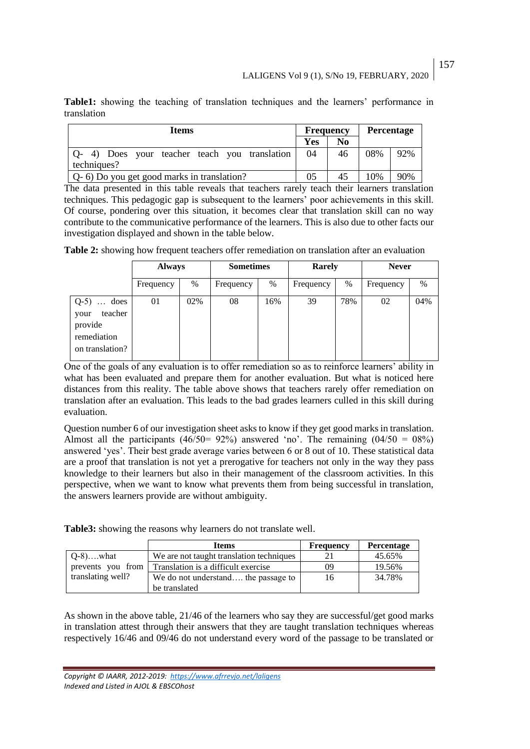**Table1:** showing the teaching of translation techniques and the learners' performance in translation

| <b>Items</b>                                                 |     | <b>Frequency</b> |     | <b>Percentage</b> |  |
|--------------------------------------------------------------|-----|------------------|-----|-------------------|--|
|                                                              | Yes | No               |     |                   |  |
| Q- 4) Does your teacher teach you translation<br>techniques? | 04  | 46               | 08% | 92%               |  |
| Q- 6) Do you get good marks in translation?                  |     | 45               | 10% | 90%               |  |

The data presented in this table reveals that teachers rarely teach their learners translation techniques. This pedagogic gap is subsequent to the learners' poor achievements in this skill. Of course, pondering over this situation, it becomes clear that translation skill can no way contribute to the communicative performance of the learners. This is also due to other facts our investigation displayed and shown in the table below.

**Table 2:** showing how frequent teachers offer remediation on translation after an evaluation

|                                                                               | <b>Always</b> |     | <b>Sometimes</b> |     | Rarely    |      | <b>Never</b> |      |
|-------------------------------------------------------------------------------|---------------|-----|------------------|-----|-----------|------|--------------|------|
|                                                                               | Frequency     | %   | Frequency        | %   | Frequency | $\%$ | Frequency    | $\%$ |
| $Q-5$ )  does<br>teacher<br>your<br>provide<br>remediation<br>on translation? | 01            | 02% | 08               | 16% | 39        | 78%  | 02           | 04%  |

One of the goals of any evaluation is to offer remediation so as to reinforce learners' ability in what has been evaluated and prepare them for another evaluation. But what is noticed here distances from this reality. The table above shows that teachers rarely offer remediation on translation after an evaluation. This leads to the bad grades learners culled in this skill during evaluation.

Question number 6 of our investigation sheet asks to know if they get good marks in translation. Almost all the participants (46/50 = 92%) answered 'no'. The remaining (04/50 = 08%) answered 'yes'. Their best grade average varies between 6 or 8 out of 10. These statistical data are a proof that translation is not yet a prerogative for teachers not only in the way they pass knowledge to their learners but also in their management of the classroom activities. In this perspective, when we want to know what prevents them from being successful in translation, the answers learners provide are without ambiguity.

**Table3:** showing the reasons why learners do not translate well.

|                   | <b>Items</b>                             | <b>Frequency</b> | <b>Percentage</b> |
|-------------------|------------------------------------------|------------------|-------------------|
| $Q-8$ )what       | We are not taught translation techniques |                  | 45.65%            |
| prevents you from | Translation is a difficult exercise      | 09               | 19.56%            |
| translating well? | We do not understand the passage to      | 16               | 34.78%            |
|                   | be translated                            |                  |                   |

As shown in the above table, 21/46 of the learners who say they are successful/get good marks in translation attest through their answers that they are taught translation techniques whereas respectively 16/46 and 09/46 do not understand every word of the passage to be translated or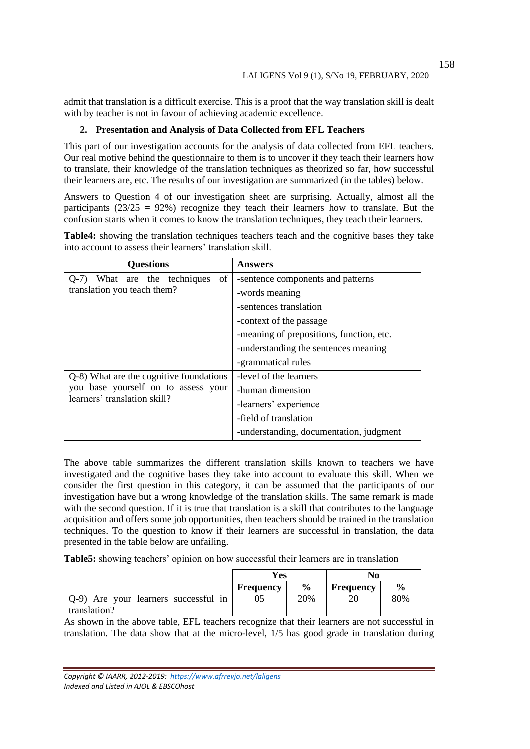admit that translation is a difficult exercise. This is a proof that the way translation skill is dealt with by teacher is not in favour of achieving academic excellence.

# **2. Presentation and Analysis of Data Collected from EFL Teachers**

This part of our investigation accounts for the analysis of data collected from EFL teachers. Our real motive behind the questionnaire to them is to uncover if they teach their learners how to translate, their knowledge of the translation techniques as theorized so far, how successful their learners are, etc. The results of our investigation are summarized (in the tables) below.

Answers to Question 4 of our investigation sheet are surprising. Actually, almost all the participants  $(23/25 = 92%)$  recognize they teach their learners how to translate. But the confusion starts when it comes to know the translation techniques, they teach their learners.

| <b>Questions</b>                             | Answers                                  |
|----------------------------------------------|------------------------------------------|
| What are the techniques<br>$\sigma$<br>$O-7$ | -sentence components and patterns        |
| translation you teach them?                  | -words meaning                           |
|                                              | -sentences translation                   |
|                                              | -context of the passage                  |
|                                              | -meaning of prepositions, function, etc. |
|                                              | -understanding the sentences meaning     |
|                                              | -grammatical rules                       |
| Q-8) What are the cognitive foundations      | -level of the learners                   |
| you base yourself on to assess your          | -human dimension                         |
| learners' translation skill?                 | -learners' experience                    |
|                                              | -field of translation                    |
|                                              | -understanding, documentation, judgment  |

**Table4:** showing the translation techniques teachers teach and the cognitive bases they take into account to assess their learners' translation skill.

The above table summarizes the different translation skills known to teachers we have investigated and the cognitive bases they take into account to evaluate this skill. When we consider the first question in this category, it can be assumed that the participants of our investigation have but a wrong knowledge of the translation skills. The same remark is made with the second question. If it is true that translation is a skill that contributes to the language acquisition and offers some job opportunities, then teachers should be trained in the translation techniques. To the question to know if their learners are successful in translation, the data presented in the table below are unfailing.

**Table5:** showing teachers' opinion on how successful their learners are in translation

|                                      | Yes              |               | No               |               |
|--------------------------------------|------------------|---------------|------------------|---------------|
|                                      | <b>Frequency</b> | $\frac{6}{9}$ | <b>Frequency</b> | $\frac{0}{0}$ |
| Q-9) Are your learners successful in |                  | 20%           | 20               | 80%           |
| translation?                         |                  |               |                  |               |

As shown in the above table, EFL teachers recognize that their learners are not successful in translation. The data show that at the micro-level, 1/5 has good grade in translation during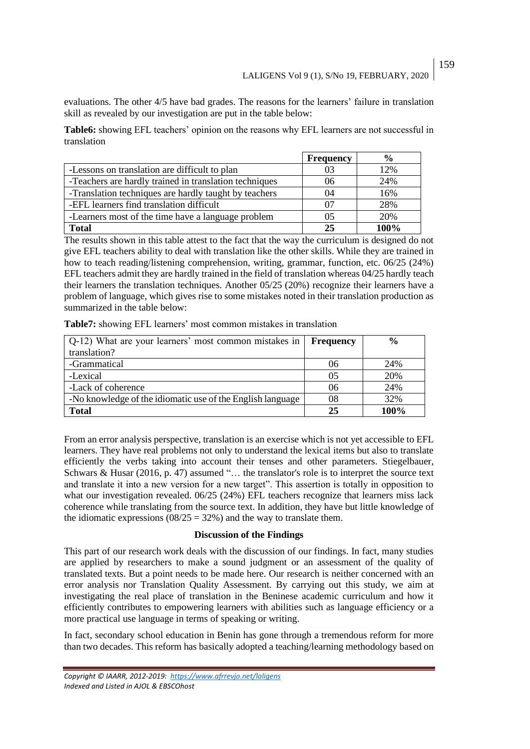evaluations. The other 4/5 have bad grades. The reasons for the learners' failure in translation skill as revealed by our investigation are put in the table below:

**Table6:** showing EFL teachers' opinion on the reasons why EFL learners are not successful in translation

|                                                        | <b>Frequency</b> | $\frac{6}{9}$ |
|--------------------------------------------------------|------------------|---------------|
| -Lessons on translation are difficult to plan          | 03               | 12%           |
| -Teachers are hardly trained in translation techniques | 06               | 24%           |
| -Translation techniques are hardly taught by teachers  | 04               | 16%           |
| -EFL learners find translation difficult               | 07               | 28%           |
| -Learners most of the time have a language problem     | 05               | 20%           |
| <b>Total</b>                                           | 25               | 100%          |

The results shown in this table attest to the fact that the way the curriculum is designed do not give EFL teachers ability to deal with translation like the other skills. While they are trained in how to teach reading/listening comprehension, writing, grammar, function, etc. 06/25 (24%) EFL teachers admit they are hardly trained in the field of translation whereas 04/25 hardly teach their learners the translation techniques. Another 05/25 (20%) recognize their learners have a problem of language, which gives rise to some mistakes noted in their translation production as summarized in the table below:

| Q-12) What are your learners' most common mistakes in      | <b>Frequency</b> | $\frac{0}{0}$ |
|------------------------------------------------------------|------------------|---------------|
| translation?                                               |                  |               |
| -Grammatical                                               | 06               | 24%           |
| -Lexical                                                   | 05               | 20%           |
| -Lack of coherence                                         | 06               | 24%           |
| -No knowledge of the idiomatic use of the English language | 08               | 32%           |
| <b>Total</b>                                               | 25               | 100%          |

**Table7:** showing EFL learners' most common mistakes in translation

From an error analysis perspective, translation is an exercise which is not yet accessible to EFL learners. They have real problems not only to understand the lexical items but also to translate efficiently the verbs taking into account their tenses and other parameters. Stiegelbauer, Schwars & Husar (2016, p. 47) assumed "… the translator's role is to interpret the source text and translate it into a new version for a new target". This assertion is totally in opposition to what our investigation revealed. 06/25 (24%) EFL teachers recognize that learners miss lack coherence while translating from the source text. In addition, they have but little knowledge of the idiomatic expressions ( $08/25 = 32%$ ) and the way to translate them.

## **Discussion of the Findings**

This part of our research work deals with the discussion of our findings. In fact, many studies are applied by researchers to make a sound judgment or an assessment of the quality of translated texts. But a point needs to be made here. Our research is neither concerned with an error analysis nor Translation Quality Assessment. By carrying out this study, we aim at investigating the real place of translation in the Beninese academic curriculum and how it efficiently contributes to empowering learners with abilities such as language efficiency or a more practical use language in terms of speaking or writing.

In fact, secondary school education in Benin has gone through a tremendous reform for more than two decades. This reform has basically adopted a teaching/learning methodology based on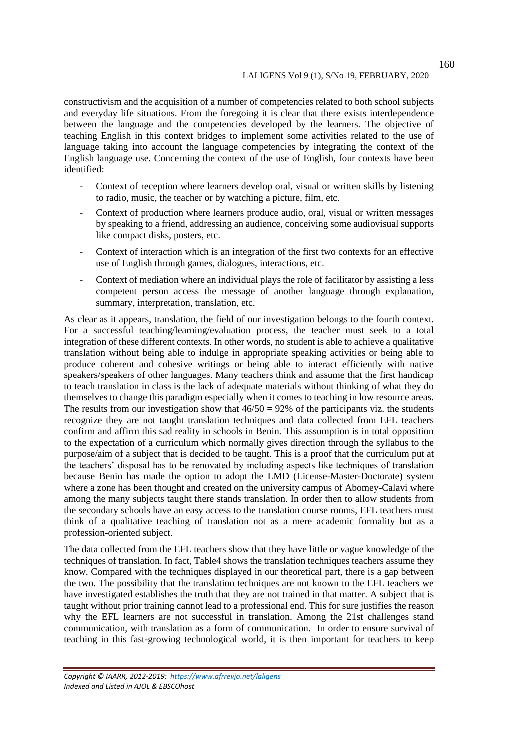constructivism and the acquisition of a number of competencies related to both school subjects and everyday life situations. From the foregoing it is clear that there exists interdependence between the language and the competencies developed by the learners. The objective of teaching English in this context bridges to implement some activities related to the use of language taking into account the language competencies by integrating the context of the English language use. Concerning the context of the use of English, four contexts have been identified:

- Context of reception where learners develop oral, visual or written skills by listening to radio, music, the teacher or by watching a picture, film, etc.
- Context of production where learners produce audio, oral, visual or written messages by speaking to a friend, addressing an audience, conceiving some audiovisual supports like compact disks, posters, etc.
- Context of interaction which is an integration of the first two contexts for an effective use of English through games, dialogues, interactions, etc.
- Context of mediation where an individual plays the role of facilitator by assisting a less competent person access the message of another language through explanation, summary, interpretation, translation, etc.

As clear as it appears, translation, the field of our investigation belongs to the fourth context. For a successful teaching/learning/evaluation process, the teacher must seek to a total integration of these different contexts. In other words, no student is able to achieve a qualitative translation without being able to indulge in appropriate speaking activities or being able to produce coherent and cohesive writings or being able to interact efficiently with native speakers/speakers of other languages. Many teachers think and assume that the first handicap to teach translation in class is the lack of adequate materials without thinking of what they do themselves to change this paradigm especially when it comes to teaching in low resource areas. The results from our investigation show that  $46/50 = 92\%$  of the participants viz. the students recognize they are not taught translation techniques and data collected from EFL teachers confirm and affirm this sad reality in schools in Benin. This assumption is in total opposition to the expectation of a curriculum which normally gives direction through the syllabus to the purpose/aim of a subject that is decided to be taught. This is a proof that the curriculum put at the teachers' disposal has to be renovated by including aspects like techniques of translation because Benin has made the option to adopt the LMD (License-Master-Doctorate) system where a zone has been thought and created on the university campus of Abomey-Calavi where among the many subjects taught there stands translation. In order then to allow students from the secondary schools have an easy access to the translation course rooms, EFL teachers must think of a qualitative teaching of translation not as a mere academic formality but as a profession-oriented subject.

The data collected from the EFL teachers show that they have little or vague knowledge of the techniques of translation. In fact, Table4 shows the translation techniques teachers assume they know. Compared with the techniques displayed in our theoretical part, there is a gap between the two. The possibility that the translation techniques are not known to the EFL teachers we have investigated establishes the truth that they are not trained in that matter. A subject that is taught without prior training cannot lead to a professional end. This for sure justifies the reason why the EFL learners are not successful in translation. Among the 21st challenges stand communication, with translation as a form of communication. In order to ensure survival of teaching in this fast-growing technological world, it is then important for teachers to keep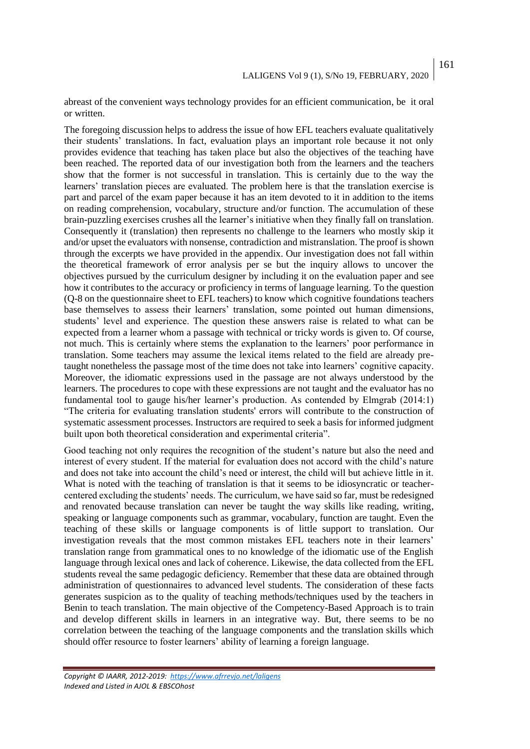abreast of the convenient ways technology provides for an efficient communication, be it oral or written.

The foregoing discussion helps to address the issue of how EFL teachers evaluate qualitatively their students' translations. In fact, evaluation plays an important role because it not only provides evidence that teaching has taken place but also the objectives of the teaching have been reached. The reported data of our investigation both from the learners and the teachers show that the former is not successful in translation. This is certainly due to the way the learners' translation pieces are evaluated. The problem here is that the translation exercise is part and parcel of the exam paper because it has an item devoted to it in addition to the items on reading comprehension, vocabulary, structure and/or function. The accumulation of these brain-puzzling exercises crushes all the learner's initiative when they finally fall on translation. Consequently it (translation) then represents no challenge to the learners who mostly skip it and/or upset the evaluators with nonsense, contradiction and mistranslation. The proof is shown through the excerpts we have provided in the appendix. Our investigation does not fall within the theoretical framework of error analysis per se but the inquiry allows to uncover the objectives pursued by the curriculum designer by including it on the evaluation paper and see how it contributes to the accuracy or proficiency in terms of language learning. To the question (Q-8 on the questionnaire sheet to EFL teachers) to know which cognitive foundations teachers base themselves to assess their learners' translation, some pointed out human dimensions, students' level and experience. The question these answers raise is related to what can be expected from a learner whom a passage with technical or tricky words is given to. Of course, not much. This is certainly where stems the explanation to the learners' poor performance in translation. Some teachers may assume the lexical items related to the field are already pretaught nonetheless the passage most of the time does not take into learners' cognitive capacity. Moreover, the idiomatic expressions used in the passage are not always understood by the learners. The procedures to cope with these expressions are not taught and the evaluator has no fundamental tool to gauge his/her learner's production. As contended by Elmgrab (2014:1) "The criteria for evaluating translation students' errors will contribute to the construction of systematic assessment processes. Instructors are required to seek a basis for informed judgment built upon both theoretical consideration and experimental criteria".

Good teaching not only requires the recognition of the student's nature but also the need and interest of every student. If the material for evaluation does not accord with the child's nature and does not take into account the child's need or interest, the child will but achieve little in it. What is noted with the teaching of translation is that it seems to be idiosyncratic or teachercentered excluding the students' needs. The curriculum, we have said so far, must be redesigned and renovated because translation can never be taught the way skills like reading, writing, speaking or language components such as grammar, vocabulary, function are taught. Even the teaching of these skills or language components is of little support to translation. Our investigation reveals that the most common mistakes EFL teachers note in their learners' translation range from grammatical ones to no knowledge of the idiomatic use of the English language through lexical ones and lack of coherence. Likewise, the data collected from the EFL students reveal the same pedagogic deficiency. Remember that these data are obtained through administration of questionnaires to advanced level students. The consideration of these facts generates suspicion as to the quality of teaching methods/techniques used by the teachers in Benin to teach translation. The main objective of the Competency-Based Approach is to train and develop different skills in learners in an integrative way. But, there seems to be no correlation between the teaching of the language components and the translation skills which should offer resource to foster learners' ability of learning a foreign language.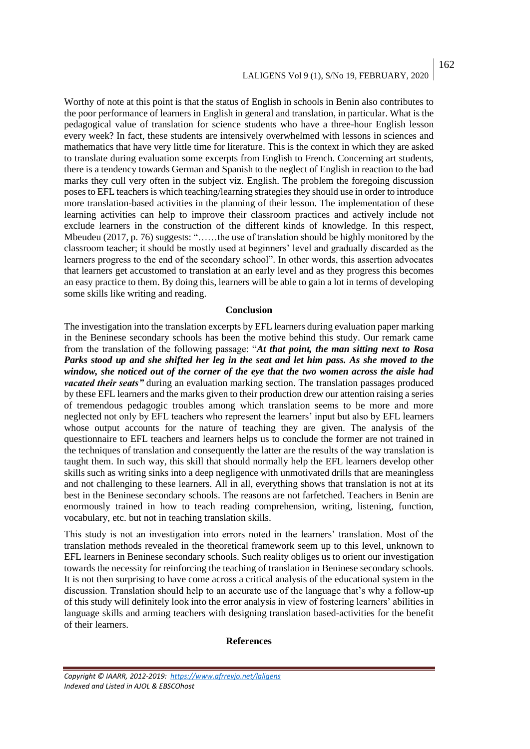## LALIGENS Vol 9 (1), S/No 19, FEBRUARY, 2020 162

Worthy of note at this point is that the status of English in schools in Benin also contributes to the poor performance of learners in English in general and translation, in particular. What is the pedagogical value of translation for science students who have a three-hour English lesson every week? In fact, these students are intensively overwhelmed with lessons in sciences and mathematics that have very little time for literature. This is the context in which they are asked to translate during evaluation some excerpts from English to French. Concerning art students, there is a tendency towards German and Spanish to the neglect of English in reaction to the bad marks they cull very often in the subject viz. English. The problem the foregoing discussion poses to EFL teachers is which teaching/learning strategies they should use in order to introduce more translation-based activities in the planning of their lesson. The implementation of these learning activities can help to improve their classroom practices and actively include not exclude learners in the construction of the different kinds of knowledge. In this respect, Mbeudeu (2017, p. 76) suggests: "……the use of translation should be highly monitored by the classroom teacher; it should be mostly used at beginners' level and gradually discarded as the learners progress to the end of the secondary school". In other words, this assertion advocates that learners get accustomed to translation at an early level and as they progress this becomes an easy practice to them. By doing this, learners will be able to gain a lot in terms of developing some skills like writing and reading.

#### **Conclusion**

The investigation into the translation excerpts by EFL learners during evaluation paper marking in the Beninese secondary schools has been the motive behind this study. Our remark came from the translation of the following passage: "*At that point, the man sitting next to Rosa Parks stood up and she shifted her leg in the seat and let him pass. As she moved to the window, she noticed out of the corner of the eye that the two women across the aisle had vacated their seats"* during an evaluation marking section. The translation passages produced by these EFL learners and the marks given to their production drew our attention raising a series of tremendous pedagogic troubles among which translation seems to be more and more neglected not only by EFL teachers who represent the learners' input but also by EFL learners whose output accounts for the nature of teaching they are given. The analysis of the questionnaire to EFL teachers and learners helps us to conclude the former are not trained in the techniques of translation and consequently the latter are the results of the way translation is taught them. In such way, this skill that should normally help the EFL learners develop other skills such as writing sinks into a deep negligence with unmotivated drills that are meaningless and not challenging to these learners. All in all, everything shows that translation is not at its best in the Beninese secondary schools. The reasons are not farfetched. Teachers in Benin are enormously trained in how to teach reading comprehension, writing, listening, function, vocabulary, etc. but not in teaching translation skills.

This study is not an investigation into errors noted in the learners' translation. Most of the translation methods revealed in the theoretical framework seem up to this level, unknown to EFL learners in Beninese secondary schools. Such reality obliges us to orient our investigation towards the necessity for reinforcing the teaching of translation in Beninese secondary schools. It is not then surprising to have come across a critical analysis of the educational system in the discussion. Translation should help to an accurate use of the language that's why a follow-up of this study will definitely look into the error analysis in view of fostering learners' abilities in language skills and arming teachers with designing translation based-activities for the benefit of their learners.

#### **References**

*Copyright © IAARR, 2012-2019: <https://www.afrrevjo.net/laligens> Indexed and Listed in AJOL & EBSCOhost*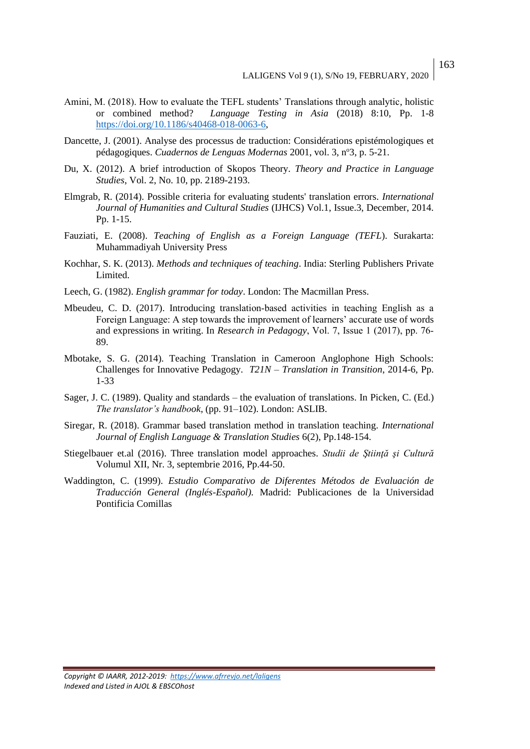- Amini, M. (2018). How to evaluate the TEFL students' Translations through analytic, holistic or combined method? *Language Testing in Asia* (2018) 8:10, Pp. 1-8 [https://doi.org/10.1186/s40468-018-0063-6,](https://doi.org/10.1186/s40468-018-0063-6)
- Dancette, J. (2001). Analyse des processus de traduction: Considérations epistémologiques et pédagogiques. *Cuadernos de Lenguas Modernas* 2001, vol. 3, n<sup>o</sup>3, p. 5-21.
- Du, X. (2012). A brief introduction of Skopos Theory. *Theory and Practice in Language Studies*, Vol. 2, No. 10, pp. 2189-2193.
- Elmgrab, R. (2014). Possible criteria for evaluating students' translation errors. *International Journal of Humanities and Cultural Studies* (IJHCS) Vol.1, Issue.3, December, 2014. Pp. 1-15.
- Fauziati, E. (2008). *Teaching of English as a Foreign Language (TEFL*). Surakarta: Muhammadiyah University Press
- Kochhar, S. K. (2013). *Methods and techniques of teaching*. India: Sterling Publishers Private Limited.
- Leech, G. (1982). *English grammar for today*. London: The Macmillan Press.
- Mbeudeu, C. D. (2017). Introducing translation-based activities in teaching English as a Foreign Language: A step towards the improvement of learners' accurate use of words and expressions in writing. In *Research in Pedagogy*, Vol. 7, Issue 1 (2017), pp. 76‐ 89.
- Mbotake, S. G. (2014). Teaching Translation in Cameroon Anglophone High Schools: Challenges for Innovative Pedagogy. *T21N – Translation in Transition*, 2014-6, Pp. 1-33
- Sager, J. C. (1989). Quality and standards the evaluation of translations. In Picken, C. (Ed.) *The translator's handbook,* (pp. 91–102). London: ASLIB.
- Siregar, R. (2018). Grammar based translation method in translation teaching. *International Journal of English Language & Translation Studies* 6(2), Pp.148-154.
- Stiegelbauer et.al (2016). Three translation model approaches. *Studii de Ştiinţă şi Cultură* Volumul XII, Nr. 3, septembrie 2016, Pp.44-50.
- Waddington, C. (1999). *Estudio Comparativo de Diferentes Métodos de Evaluación de Traducción General (Inglés-Español).* Madrid: Publicaciones de la Universidad Pontificia Comillas